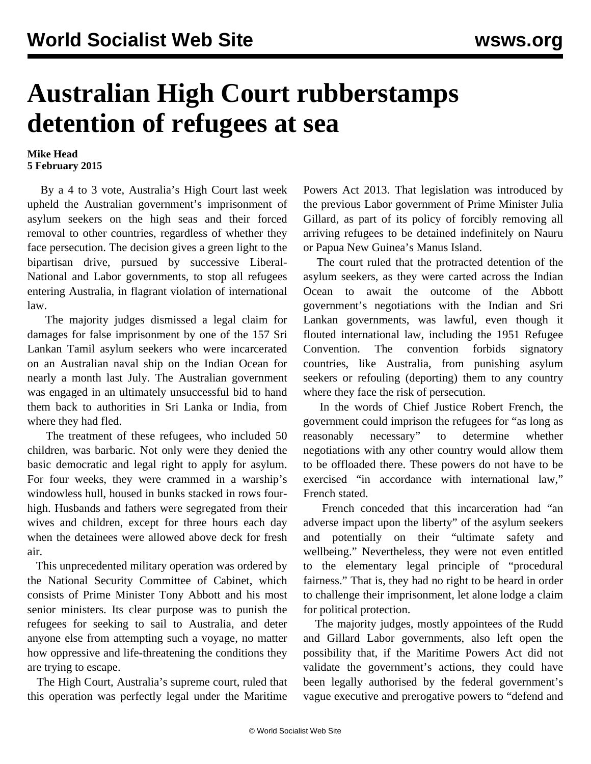## **Australian High Court rubberstamps detention of refugees at sea**

## **Mike Head 5 February 2015**

 By a 4 to 3 vote, Australia's High Court last week upheld the Australian government's imprisonment of asylum seekers on the high seas and their forced removal to other countries, regardless of whether they face persecution. The decision gives a green light to the bipartisan drive, pursued by successive Liberal-National and Labor governments, to stop all refugees entering Australia, in flagrant violation of international law.

 The majority judges dismissed a legal claim for damages for false imprisonment by one of the 157 Sri Lankan Tamil asylum seekers who were incarcerated on an Australian naval ship on the Indian Ocean for nearly a month last July. The Australian government was engaged in an ultimately unsuccessful bid to hand them back to authorities in Sri Lanka or India, from where they had fled.

 The [treatment](/en/articles/2014/07/29/refu-j29.html) of these refugees, who included 50 children, was barbaric. Not only were they denied the basic democratic and legal right to apply for asylum. For four weeks, they were crammed in a warship's windowless hull, housed in bunks stacked in rows fourhigh. Husbands and fathers were segregated from their wives and children, except for three hours each day when the detainees were allowed above deck for fresh air.

 This unprecedented military operation was ordered by the National Security Committee of Cabinet, which consists of Prime Minister Tony Abbott and his most senior ministers. Its clear purpose was to punish the refugees for seeking to sail to Australia, and deter anyone else from attempting such a voyage, no matter how oppressive and life-threatening the conditions they are trying to escape.

 The High Court, Australia's supreme court, ruled that this operation was perfectly legal under the Maritime

Powers Act 2013. That legislation was introduced by the previous Labor government of Prime Minister Julia Gillard, as part of its policy of forcibly removing all arriving refugees to be detained indefinitely on Nauru or Papua New Guinea's Manus Island.

 The court ruled that the protracted detention of the asylum seekers, as they were carted across the Indian Ocean to await the outcome of the Abbott government's negotiations with the Indian and Sri Lankan governments, was lawful, even though it flouted international law, including the 1951 Refugee Convention. The convention forbids signatory countries, like Australia, from punishing asylum seekers or refouling (deporting) them to any country where they face the risk of persecution.

 In the words of Chief Justice Robert French, the government could imprison the refugees for "as long as reasonably necessary" to determine whether negotiations with any other country would allow them to be offloaded there. These powers do not have to be exercised "in accordance with international law," French stated.

 French conceded that this incarceration had "an adverse impact upon the liberty" of the asylum seekers and potentially on their "ultimate safety and wellbeing." Nevertheless, they were not even entitled to the elementary legal principle of "procedural fairness." That is, they had no right to be heard in order to challenge their imprisonment, let alone lodge a claim for political protection.

 The majority judges, mostly appointees of the Rudd and Gillard Labor governments, also left open the possibility that, if the Maritime Powers Act did not validate the government's actions, they could have been legally authorised by the federal government's vague executive and prerogative powers to "defend and